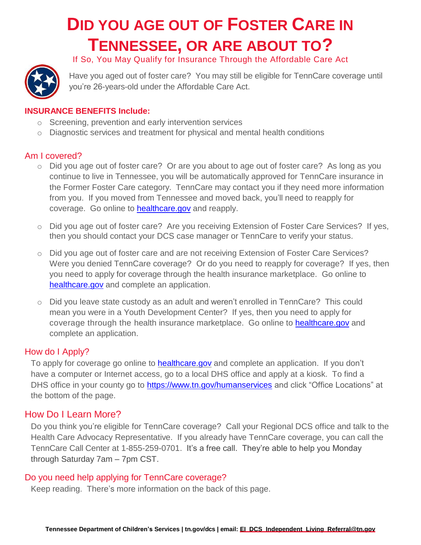# **DID YOU AGE OUT OF FOSTER CARE IN TENNESSEE, OR ARE ABOUT TO?**



If So, You May Qualify for Insurance Through the Affordable Care Act

Have you aged out of foster care? You may still be eligible for TennCare coverage until you're 26-years-old under the Affordable Care Act.

### **INSURANCE BENEFITS Include:**

- o Screening, prevention and early intervention services
- $\circ$  Diagnostic services and treatment for physical and mental health conditions

## Am I covered?

- o Did you age out of foster care? Or are you about to age out of foster care? As long as you continue to live in Tennessee, you will be automatically approved for TennCare insurance in the Former Foster Care category. TennCare may contact you if they need more information from you. If you moved from Tennessee and moved back, you'll need to reapply for coverage. Go online to [healthcare.gov](https://www.healthcare.gov/) and reapply.
- o Did you age out of foster care? Are you receiving Extension of Foster Care Services? If yes, then you should contact your DCS case manager or TennCare to verify your status.
- o Did you age out of foster care and are not receiving Extension of Foster Care Services? Were you denied TennCare coverage? Or do you need to reapply for coverage? If yes, then you need to apply for coverage through the health insurance marketplace. Go online to [healthcare.gov](https://www.healthcare.gov/) and complete an application.
- o Did you leave state custody as an adult and weren't enrolled in TennCare? This could mean you were in a Youth Development Center? If yes, then you need to apply for coverage through the health insurance marketplace. Go online to [healthcare.gov](https://www.healthcare.gov/) and complete an application.

# How do I Apply?

To apply for coverage go online to [healthcare.gov](https://www.healthcare.gov/) and complete an application. If you don't have a computer or Internet access, go to a local DHS office and apply at a kiosk. To find a DHS office in your county go to<https://www.tn.gov/humanservices> and click "Office Locations" at the bottom of the page.

# How Do I Learn More?

Do you think you're eligible for TennCare coverage? Call your Regional DCS office and talk to the Health Care Advocacy Representative. If you already have TennCare coverage, you can call the TennCare Call Center at 1-855-259-0701. It's a free call. They're able to help you Monday through Saturday 7am – 7pm CST.

#### Do you need help applying for TennCare coverage?

Keep reading. There's more information on the back of this page.